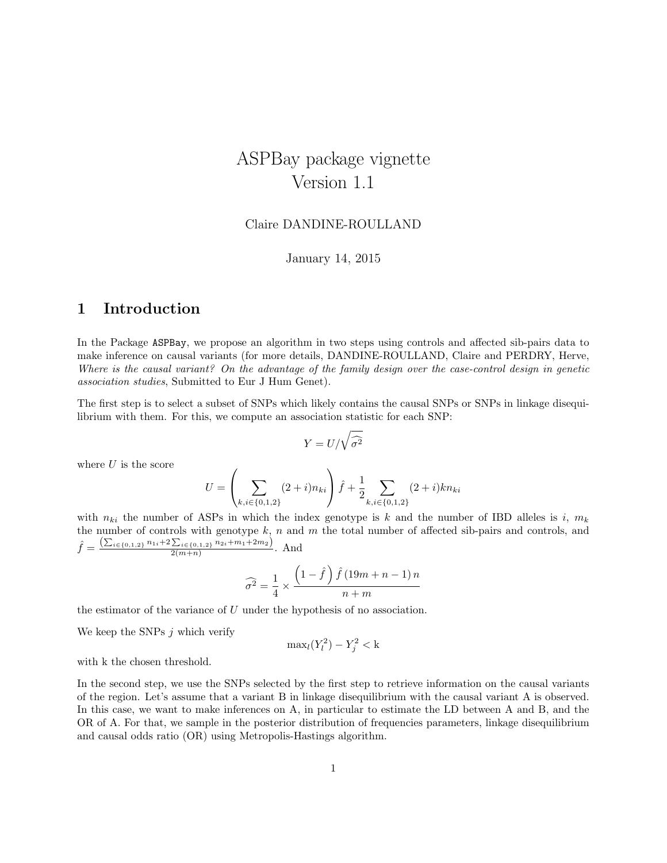# ASPBay package vignette Version 1.1

### Claire DANDINE-ROULLAND

January 14, 2015

### 1 Introduction

In the Package ASPBay, we propose an algorithm in two steps using controls and affected sib-pairs data to make inference on causal variants (for more details, DANDINE-ROULLAND, Claire and PERDRY, Herve, Where is the causal variant? On the advantage of the family design over the case-control design in genetic association studies, Submitted to Eur J Hum Genet).

The first step is to select a subset of SNPs which likely contains the causal SNPs or SNPs in linkage disequilibrium with them. For this, we compute an association statistic for each SNP:

$$
Y = U/\sqrt{\widehat{\sigma^2}}
$$

where  $U$  is the score

$$
U = \left(\sum_{k,i \in \{0,1,2\}} (2+i)n_{ki}\right)\hat{f} + \frac{1}{2} \sum_{k,i \in \{0,1,2\}} (2+i)kn_{ki}
$$

with  $n_{ki}$  the number of ASPs in which the index genotype is k and the number of IBD alleles is i,  $m_k$ the number of controls with genotype  $k$ , n and m the total number of affected sib-pairs and controls, and  $\hat{f} = \frac{\left(\sum_{i \in \{0,1,2\}} n_{1i} + 2 \sum_{i \in \{0,1,2\}} n_{2i} + m_1 + 2m_2\right)}{2(m+n)}$  $\frac{\sum_{i\in\{0,1,2\}} n_{2i}+m_1+2m_2j}{2(m+n)}$ . And

$$
\widehat{\sigma^2} = \frac{1}{4} \times \frac{\left(1 - \widehat{f}\right)\widehat{f}\left(19m + n - 1\right)n}{n + m}
$$

the estimator of the variance of  $U$  under the hypothesis of no association.

We keep the SNPs  $j$  which verify

$$
\max_l(Y_l^2) - Y_j^2 < k
$$

with k the chosen threshold.

In the second step, we use the SNPs selected by the first step to retrieve information on the causal variants of the region. Let's assume that a variant B in linkage disequilibrium with the causal variant A is observed. In this case, we want to make inferences on A, in particular to estimate the LD between A and B, and the OR of A. For that, we sample in the posterior distribution of frequencies parameters, linkage disequilibrium and causal odds ratio (OR) using Metropolis-Hastings algorithm.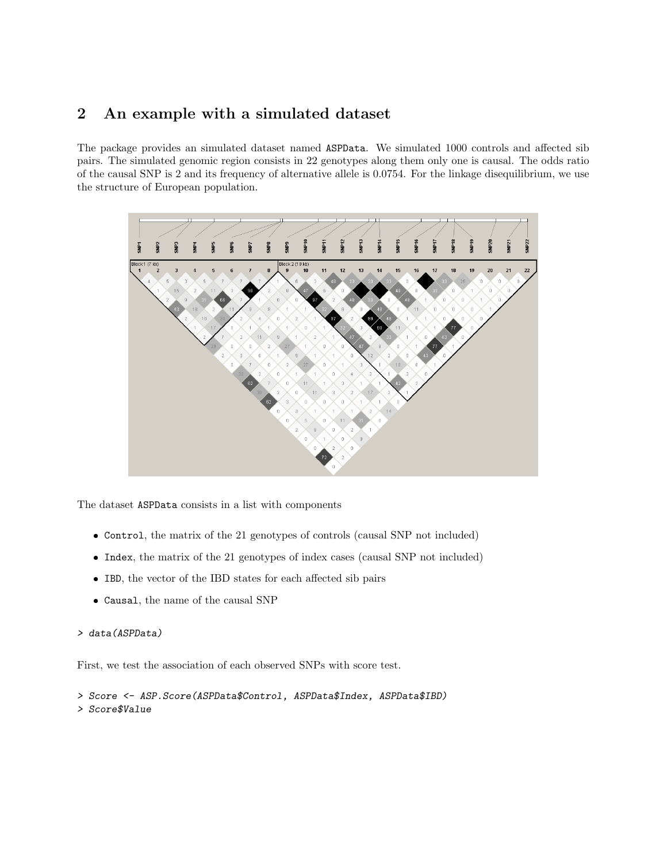## 2 An example with a simulated dataset

The package provides an simulated dataset named ASPData. We simulated 1000 controls and affected sib pairs. The simulated genomic region consists in 22 genotypes along them only one is causal. The odds ratio of the causal SNP is 2 and its frequency of alternative allele is 0.0754. For the linkage disequilibrium, we use the structure of European population.



The dataset ASPData consists in a list with components

- Control, the matrix of the 21 genotypes of controls (causal SNP not included)
- Index, the matrix of the 21 genotypes of index cases (causal SNP not included)
- IBD, the vector of the IBD states for each affected sib pairs
- Causal, the name of the causal SNP

### > data(ASPData)

First, we test the association of each observed SNPs with score test.

> Score <- ASP.Score(ASPData\$Control, ASPData\$Index, ASPData\$IBD) > Score\$Value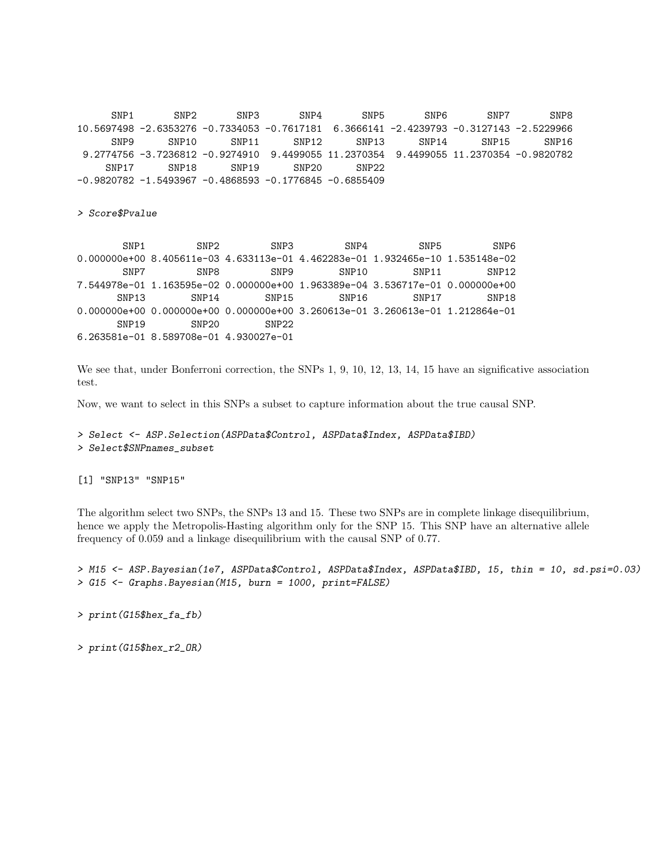SNP1 SNP2 SNP3 SNP4 SNP5 SNP6 SNP7 SNP8 10.5697498 -2.6353276 -0.7334053 -0.7617181 6.3666141 -2.4239793 -0.3127143 -2.5229966 SNP9 SNP10 SNP11 SNP12 SNP13 SNP14 SNP15 SNP16 9.2774756 -3.7236812 -0.9274910 9.4499055 11.2370354 9.4499055 11.2370354 -0.9820782 SNP17 SNP18 SNP19 SNP20 SNP22 -0.9820782 -1.5493967 -0.4868593 -0.1776845 -0.6855409

> Score\$Pvalue

SNP1 SNP2 SNP3 SNP4 SNP5 SNP6 0.000000e+00 8.405611e-03 4.633113e-01 4.462283e-01 1.932465e-10 1.535148e-02 SNP7 SNP8 SNP9 SNP10 SNP11 SNP12 7.544978e-01 1.163595e-02 0.000000e+00 1.963389e-04 3.536717e-01 0.000000e+00 SNP13 SNP14 SNP15 SNP16 SNP17 SNP18 0.000000e+00 0.000000e+00 0.000000e+00 3.260613e-01 3.260613e-01 1.212864e-01 SNP19 SNP20 SNP22 6.263581e-01 8.589708e-01 4.930027e-01

We see that, under Bonferroni correction, the SNPs 1, 9, 10, 12, 13, 14, 15 have an significative association test.

Now, we want to select in this SNPs a subset to capture information about the true causal SNP.

```
> Select <- ASP.Selection(ASPData$Control, ASPData$Index, ASPData$IBD)
> Select$SNPnames_subset
```
[1] "SNP13" "SNP15"

The algorithm select two SNPs, the SNPs 13 and 15. These two SNPs are in complete linkage disequilibrium, hence we apply the Metropolis-Hasting algorithm only for the SNP 15. This SNP have an alternative allele frequency of 0.059 and a linkage disequilibrium with the causal SNP of 0.77.

> M15 <- ASP.Bayesian(1e7, ASPData\$Control, ASPData\$Index, ASPData\$IBD, 15, thin = 10, sd.psi=0.03) > G15 <- Graphs.Bayesian(M15, burn = 1000, print=FALSE)

> print(G15\$hex\_fa\_fb)

> print(G15\$hex\_r2\_OR)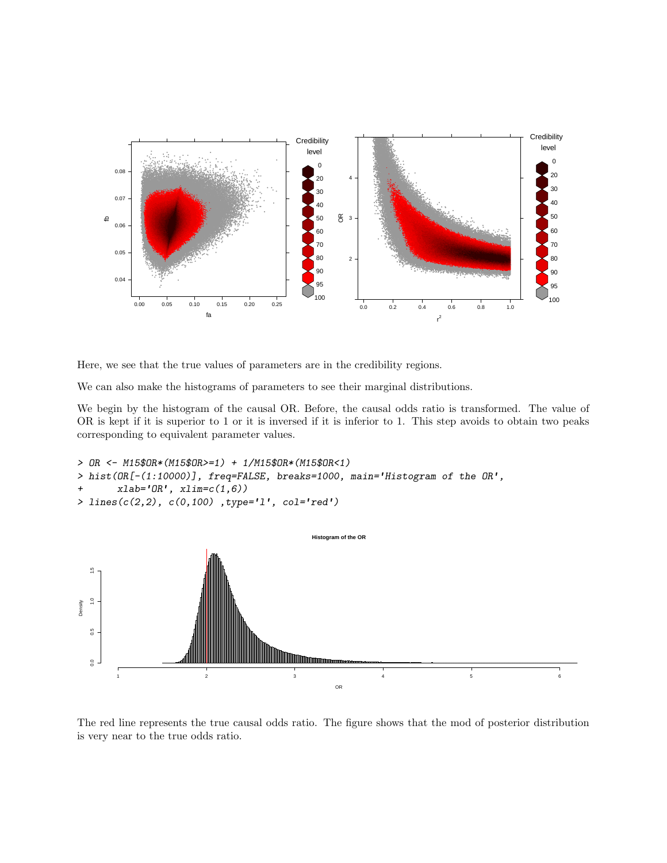

Here, we see that the true values of parameters are in the credibility regions.

We can also make the histograms of parameters to see their marginal distributions.

We begin by the histogram of the causal OR. Before, the causal odds ratio is transformed. The value of OR is kept if it is superior to 1 or it is inversed if it is inferior to 1. This step avoids to obtain two peaks corresponding to equivalent parameter values.

```
> OR <- M15$OR*(M15$OR>=1) + 1/M15$OR*(M15$OR<1)
> hist(OR[-(1:10000)], freq=FALSE, breaks=1000, main='Histogram of the OR',
       \verb|xlab='OR', xlim=c(1,6))|> lines(c(2,2), c(0,100) ,type='l', col='red')
```


The red line represents the true causal odds ratio. The figure shows that the mod of posterior distribution is very near to the true odds ratio.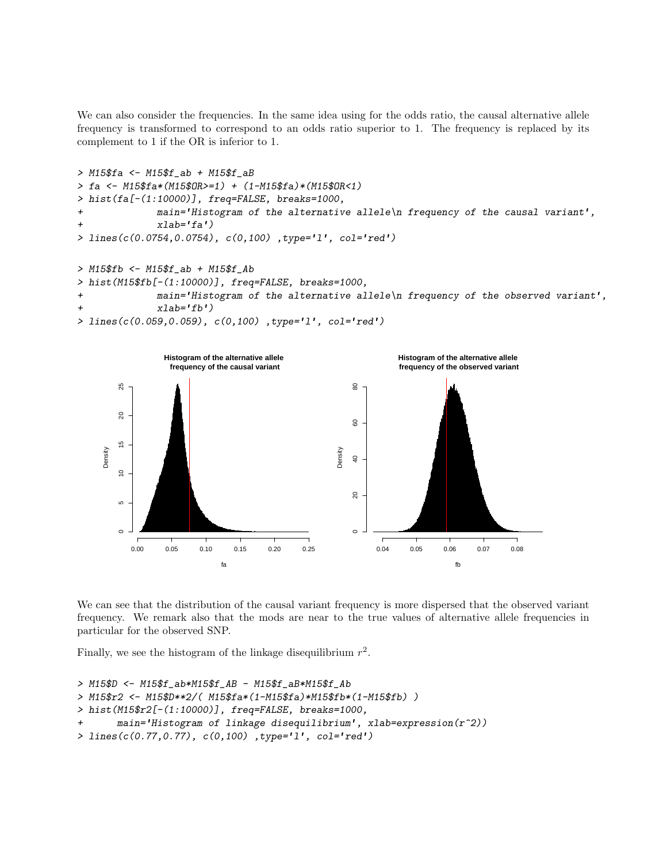We can also consider the frequencies. In the same idea using for the odds ratio, the causal alternative allele frequency is transformed to correspond to an odds ratio superior to 1. The frequency is replaced by its complement to 1 if the OR is inferior to 1.

```
> M15$fa <- M15$f_ab + M15$f_aB
> fa <- M15$fa*(M15$OR>=1) + (1-M15$fa)*(M15$OR<1)
> hist(fa[-(1:10000)], freq=FALSE, breaks=1000,
+ main='Histogram of the alternative allele\n frequency of the causal variant',
             xlab='fa')> lines(c(0.0754,0.0754), c(0,100) ,type='l', col='red')
> M15$fb <- M15$f_ab + M15$f_Ab
```

```
> hist(M15$fb[-(1:10000)], freq=FALSE, breaks=1000,
+ main='Histogram of the alternative allele\n frequency of the observed variant',
+ xlab='fb')
```

```
> lines(c(0.059,0.059), c(0,100) ,type='l', col='red')
```


We can see that the distribution of the causal variant frequency is more dispersed that the observed variant frequency. We remark also that the mods are near to the true values of alternative allele frequencies in particular for the observed SNP.

Finally, we see the histogram of the linkage disequilibrium  $r^2$ .

```
> M15$D <- M15$f_ab*M15$f_AB - M15$f_aB*M15$f_Ab
> M15$r2 <- M15$D**2/( M15$fa*(1-M15$fa)*M15$fb*(1-M15$fb) )
> hist(M15$r2[-(1:10000)], freq=FALSE, breaks=1000,
       main='Historyram of linkage disequilibrium', xlabel-expression(r^2))> lines(c(0.77,0.77), c(0,100) ,type='l', col='red')
```